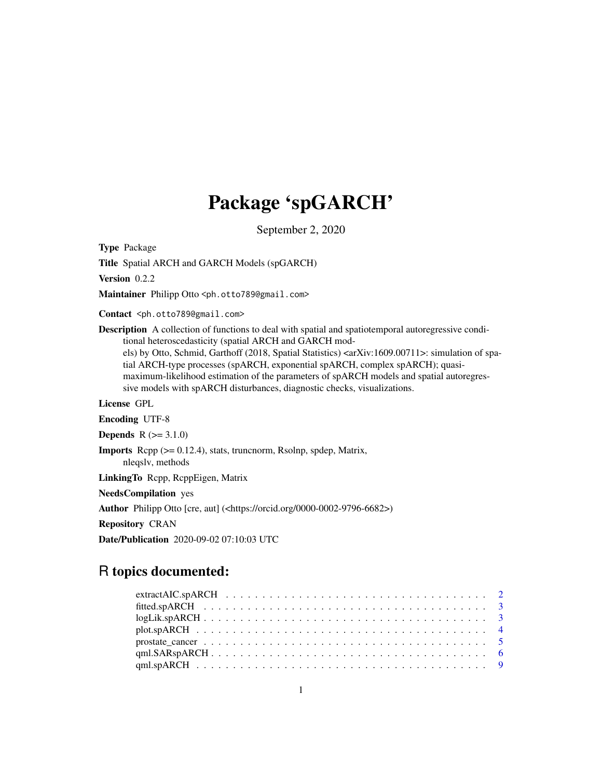# Package 'spGARCH'

September 2, 2020

<span id="page-0-0"></span>Type Package

Title Spatial ARCH and GARCH Models (spGARCH)

Version 0.2.2

Maintainer Philipp Otto <ph.otto789@gmail.com>

Contact <ph.otto789@gmail.com>

Description A collection of functions to deal with spatial and spatiotemporal autoregressive conditional heteroscedasticity (spatial ARCH and GARCH models) by Otto, Schmid, Garthoff (2018, Spatial Statistics) <arXiv:1609.00711>: simulation of spatial ARCH-type processes (spARCH, exponential spARCH, complex spARCH); quasimaximum-likelihood estimation of the parameters of spARCH models and spatial autoregressive models with spARCH disturbances, diagnostic checks, visualizations.

License GPL

Encoding UTF-8

**Depends**  $R (= 3.1.0)$ 

Imports Rcpp (>= 0.12.4), stats, truncnorm, Rsolnp, spdep, Matrix, nleqslv, methods

LinkingTo Rcpp, RcppEigen, Matrix

NeedsCompilation yes

Author Philipp Otto [cre, aut] (<https://orcid.org/0000-0002-9796-6682>)

Repository CRAN

Date/Publication 2020-09-02 07:10:03 UTC

# R topics documented: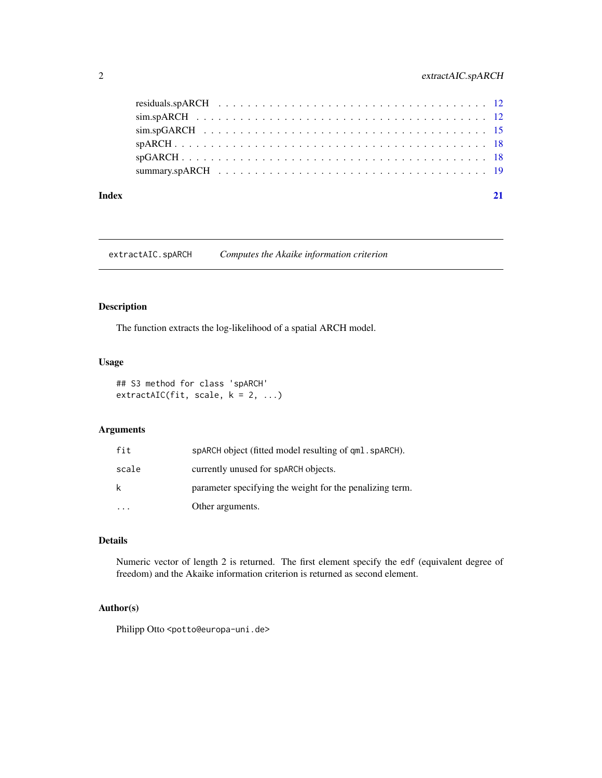# <span id="page-1-0"></span>2 extractAIC.spARCH

| Index | 21 |
|-------|----|
|       |    |
|       |    |
|       |    |
|       |    |
|       |    |
|       |    |

extractAIC.spARCH *Computes the Akaike information criterion*

# Description

The function extracts the log-likelihood of a spatial ARCH model.

# Usage

```
## S3 method for class 'spARCH'
extractAIC(fit, scale, k = 2, ...)
```
# Arguments

| fit   | sparch object (fitted model resulting of gml, sparch).   |
|-------|----------------------------------------------------------|
| scale | currently unused for spARCH objects.                     |
| k     | parameter specifying the weight for the penalizing term. |
|       | Other arguments.                                         |

# Details

Numeric vector of length 2 is returned. The first element specify the edf (equivalent degree of freedom) and the Akaike information criterion is returned as second element.

# Author(s)

Philipp Otto <potto@europa-uni.de>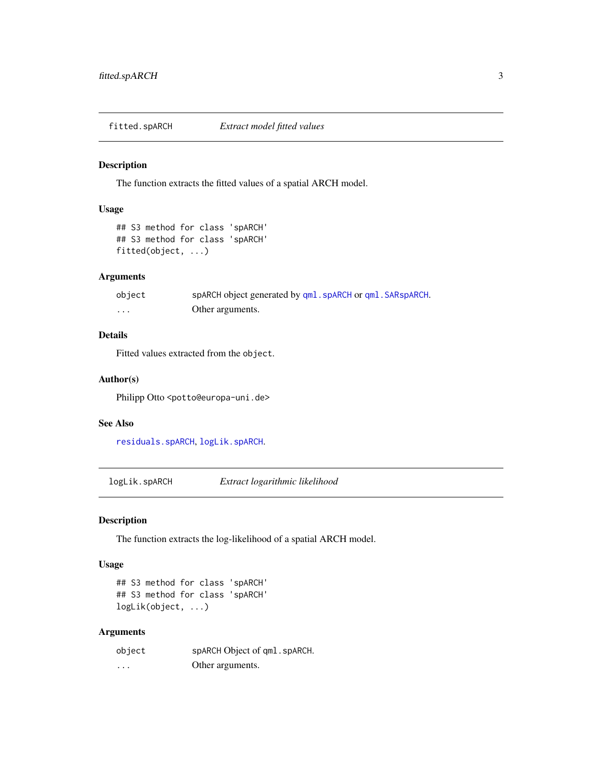<span id="page-2-2"></span><span id="page-2-0"></span>

#### Description

The function extracts the fitted values of a spatial ARCH model.

#### Usage

## S3 method for class 'spARCH' ## S3 method for class 'spARCH' fitted(object, ...)

# Arguments

| object | spARCH object generated by qml. spARCH or qml. SARspARCH. |
|--------|-----------------------------------------------------------|
| .      | Other arguments.                                          |

# Details

Fitted values extracted from the object.

# Author(s)

Philipp Otto <potto@europa-uni.de>

#### See Also

[residuals.spARCH](#page-11-1), [logLik.spARCH](#page-2-1).

<span id="page-2-1"></span>logLik.spARCH *Extract logarithmic likelihood*

# Description

The function extracts the log-likelihood of a spatial ARCH model.

#### Usage

```
## S3 method for class 'spARCH'
## S3 method for class 'spARCH'
logLik(object, ...)
```
# Arguments

| object | spARCH Object of qml. spARCH. |
|--------|-------------------------------|
| .      | Other arguments.              |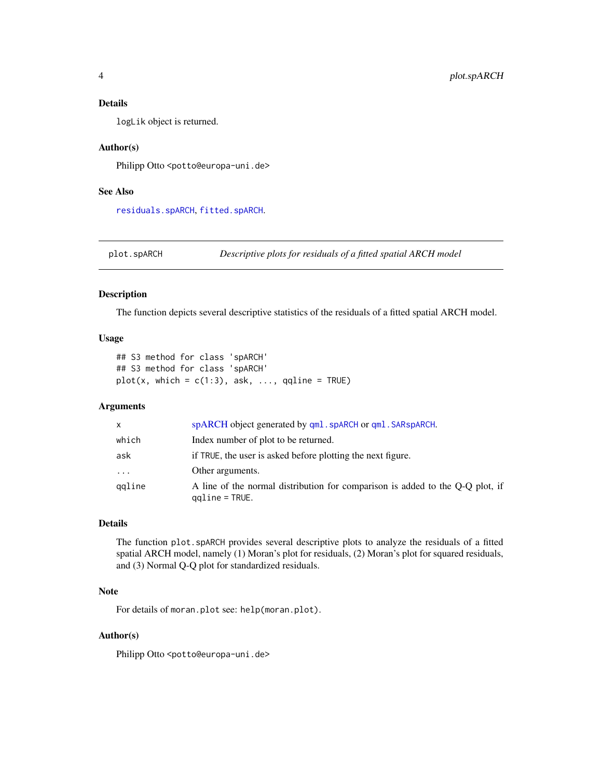### <span id="page-3-0"></span>Details

logLik object is returned.

#### Author(s)

Philipp Otto <potto@europa-uni.de>

#### See Also

[residuals.spARCH](#page-11-1), [fitted.spARCH](#page-2-2).

<span id="page-3-1"></span>plot.spARCH *Descriptive plots for residuals of a fitted spatial ARCH model*

#### Description

The function depicts several descriptive statistics of the residuals of a fitted spatial ARCH model.

#### Usage

## S3 method for class 'spARCH' ## S3 method for class 'spARCH'  $plot(x, which = c(1:3), ask, ..., qqline = TRUE)$ 

#### Arguments

| X       | spARCH object generated by qml. spARCH or qml. SARspARCH.                                         |
|---------|---------------------------------------------------------------------------------------------------|
| which   | Index number of plot to be returned.                                                              |
| ask     | if TRUE, the user is asked before plotting the next figure.                                       |
| $\cdot$ | Other arguments.                                                                                  |
| qqline  | A line of the normal distribution for comparison is added to the Q-Q plot, if<br>$qqline = TRUE.$ |

# Details

The function plot.spARCH provides several descriptive plots to analyze the residuals of a fitted spatial ARCH model, namely (1) Moran's plot for residuals, (2) Moran's plot for squared residuals, and (3) Normal Q-Q plot for standardized residuals.

#### Note

For details of moran.plot see: help(moran.plot).

#### Author(s)

Philipp Otto <potto@europa-uni.de>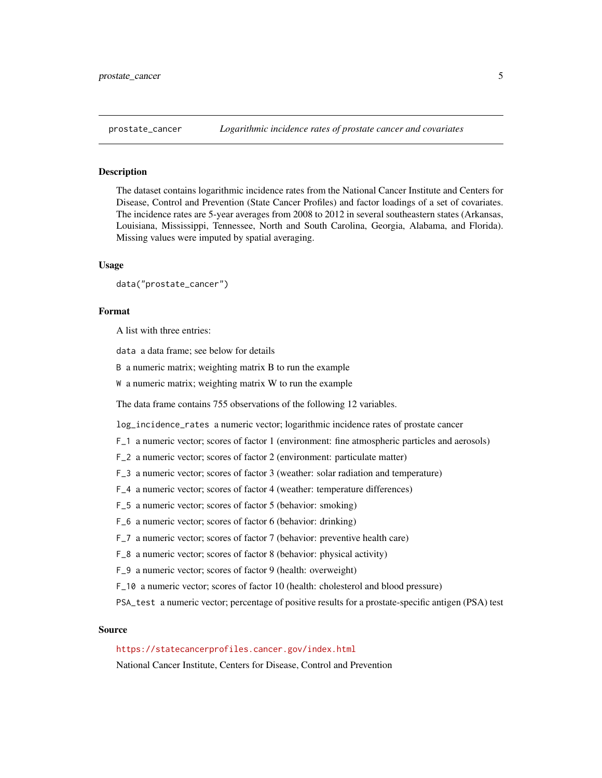<span id="page-4-0"></span>

# Description

The dataset contains logarithmic incidence rates from the National Cancer Institute and Centers for Disease, Control and Prevention (State Cancer Profiles) and factor loadings of a set of covariates. The incidence rates are 5-year averages from 2008 to 2012 in several southeastern states (Arkansas, Louisiana, Mississippi, Tennessee, North and South Carolina, Georgia, Alabama, and Florida). Missing values were imputed by spatial averaging.

#### Usage

```
data("prostate_cancer")
```
#### Format

A list with three entries:

data a data frame; see below for details

B a numeric matrix; weighting matrix B to run the example

W a numeric matrix; weighting matrix W to run the example

The data frame contains 755 observations of the following 12 variables.

log\_incidence\_rates a numeric vector; logarithmic incidence rates of prostate cancer

- F\_1 a numeric vector; scores of factor 1 (environment: fine atmospheric particles and aerosols)
- F\_2 a numeric vector; scores of factor 2 (environment: particulate matter)
- F\_3 a numeric vector; scores of factor 3 (weather: solar radiation and temperature)
- F\_4 a numeric vector; scores of factor 4 (weather: temperature differences)
- F\_5 a numeric vector; scores of factor 5 (behavior: smoking)
- F\_6 a numeric vector; scores of factor 6 (behavior: drinking)
- F\_7 a numeric vector; scores of factor 7 (behavior: preventive health care)
- F\_8 a numeric vector; scores of factor 8 (behavior: physical activity)
- F\_9 a numeric vector; scores of factor 9 (health: overweight)
- F\_10 a numeric vector; scores of factor 10 (health: cholesterol and blood pressure)
- PSA\_test a numeric vector; percentage of positive results for a prostate-specific antigen (PSA) test

# Source

# <https://statecancerprofiles.cancer.gov/index.html>

National Cancer Institute, Centers for Disease, Control and Prevention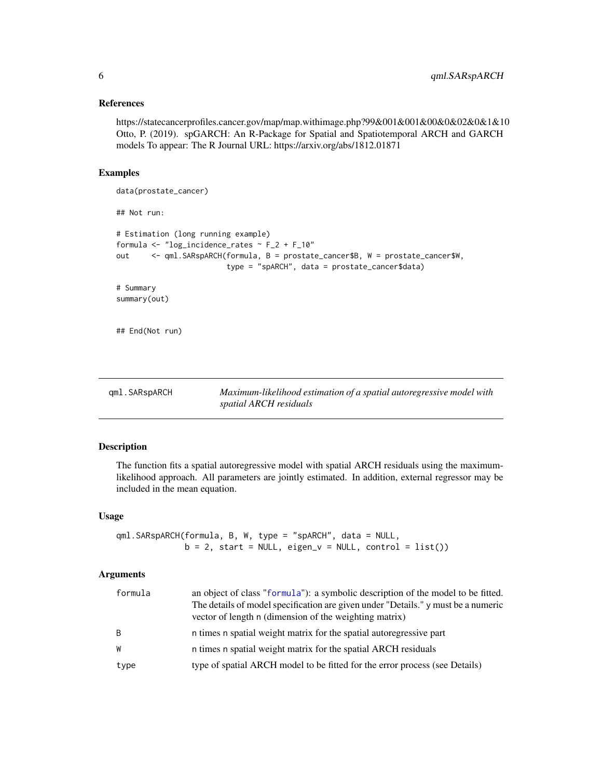#### <span id="page-5-0"></span>References

https://statecancerprofiles.cancer.gov/map/map.withimage.php?99&001&001&00&0&02&0&1&10 Otto, P. (2019). spGARCH: An R-Package for Spatial and Spatiotemporal ARCH and GARCH models To appear: The R Journal URL: https://arxiv.org/abs/1812.01871

# Examples

```
data(prostate_cancer)
## Not run:
# Estimation (long running example)
formula <- "log_incidence_rates ~ F_2 + F_10"
out <- qml.SARspARCH(formula, B = prostate_cancer$B, W = prostate_cancer$W,
                         type = "spARCH", data = prostate_cancer$data)
# Summary
summary(out)
## End(Not run)
```
<span id="page-5-1"></span>

| gml.SARspARCH | Maximum-likelihood estimation of a spatial autoregressive model with |
|---------------|----------------------------------------------------------------------|
|               | spatial ARCH residuals                                               |

# Description

The function fits a spatial autoregressive model with spatial ARCH residuals using the maximumlikelihood approach. All parameters are jointly estimated. In addition, external regressor may be included in the mean equation.

#### Usage

```
qml.SARspARCH(formula, B, W, type = "spARCH", data = NULL,
              b = 2, start = NULL, eigen_v = NULL, control = list())
```
#### Arguments

| formula | an object of class "formula"): a symbolic description of the model to be fitted.<br>The details of model specification are given under "Details." y must be a numeric<br>vector of length n (dimension of the weighting matrix) |
|---------|---------------------------------------------------------------------------------------------------------------------------------------------------------------------------------------------------------------------------------|
| B       | n times n spatial weight matrix for the spatial autoregressive part                                                                                                                                                             |
| W       | n times n spatial weight matrix for the spatial ARCH residuals                                                                                                                                                                  |
| type    | type of spatial ARCH model to be fitted for the error process (see Details)                                                                                                                                                     |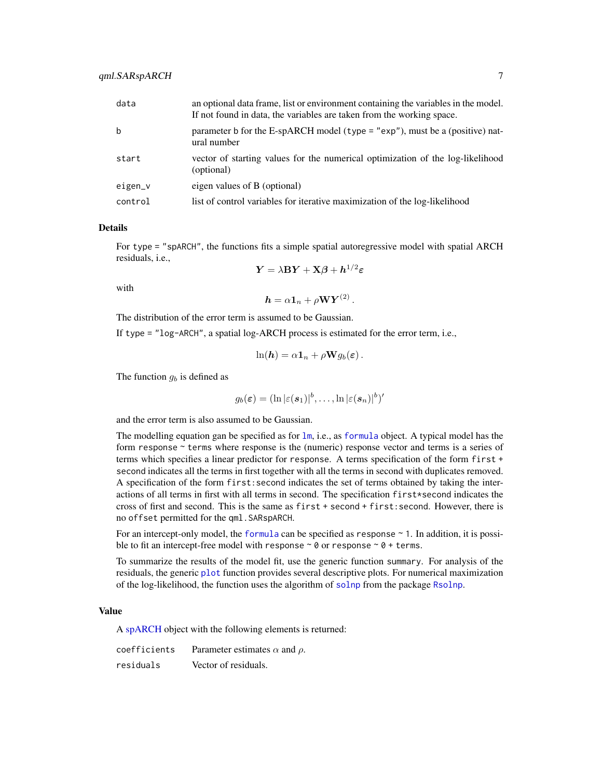<span id="page-6-0"></span>

| data    | an optional data frame, list or environment containing the variables in the model.<br>If not found in data, the variables are taken from the working space. |
|---------|-------------------------------------------------------------------------------------------------------------------------------------------------------------|
| b       | parameter b for the E-spARCH model (type = "exp"), must be a (positive) nat-<br>ural number                                                                 |
| start   | vector of starting values for the numerical optimization of the log-likelihood<br>(optional)                                                                |
| eigen_v | eigen values of B (optional)                                                                                                                                |
| control | list of control variables for iterative maximization of the log-likelihood                                                                                  |

#### Details

For type = "spARCH", the functions fits a simple spatial autoregressive model with spatial ARCH residuals, i.e.,  $1/2$ 

$$
\boldsymbol{Y} = \lambda \mathbf{B} \boldsymbol{Y} + \mathbf{X} \boldsymbol{\beta} + \boldsymbol{h}^{1/2} \boldsymbol{\varepsilon}
$$

with

 $\boldsymbol{h} = \alpha \boldsymbol{1}_n + \rho \mathbf{W} \boldsymbol{Y}^{(2)}$  .

The distribution of the error term is assumed to be Gaussian.

If type = "log-ARCH", a spatial log-ARCH process is estimated for the error term, i.e.,

$$
\ln(\mathbf{h}) = \alpha \mathbf{1}_n + \rho \mathbf{W} g_b(\boldsymbol{\varepsilon}).
$$

The function  $g_b$  is defined as

$$
g_b(\boldsymbol{\varepsilon}) = (\ln |\varepsilon(\boldsymbol{s}_1)|^b, \dots, \ln |\varepsilon(\boldsymbol{s}_n)|^b)'
$$

and the error term is also assumed to be Gaussian.

The modelling equation gan be specified as for [lm](#page-0-0), i.e., as [formula](#page-0-0) object. A typical model has the form response ~ terms where response is the (numeric) response vector and terms is a series of terms which specifies a linear predictor for response. A terms specification of the form first + second indicates all the terms in first together with all the terms in second with duplicates removed. A specification of the form first:second indicates the set of terms obtained by taking the interactions of all terms in first with all terms in second. The specification first\*second indicates the cross of first and second. This is the same as first + second + first:second. However, there is no offset permitted for the qml.SARspARCH.

For an intercept-only model, the [formula](#page-0-0) can be specified as response  $\sim$  1. In addition, it is possible to fit an intercept-free model with response  $\sim \emptyset$  or response  $\sim \emptyset$  + terms.

To summarize the results of the model fit, use the generic function summary. For analysis of the residuals, the generic [plot](#page-0-0) function provides several descriptive plots. For numerical maximization of the log-likelihood, the function uses the algorithm of [solnp](#page-0-0) from the package [Rsolnp](#page-0-0).

#### Value

A [spARCH](#page-17-1) object with the following elements is returned:

| coefficients | Parameter estimates $\alpha$ and $\rho$ . |
|--------------|-------------------------------------------|
| residuals    | Vector of residuals.                      |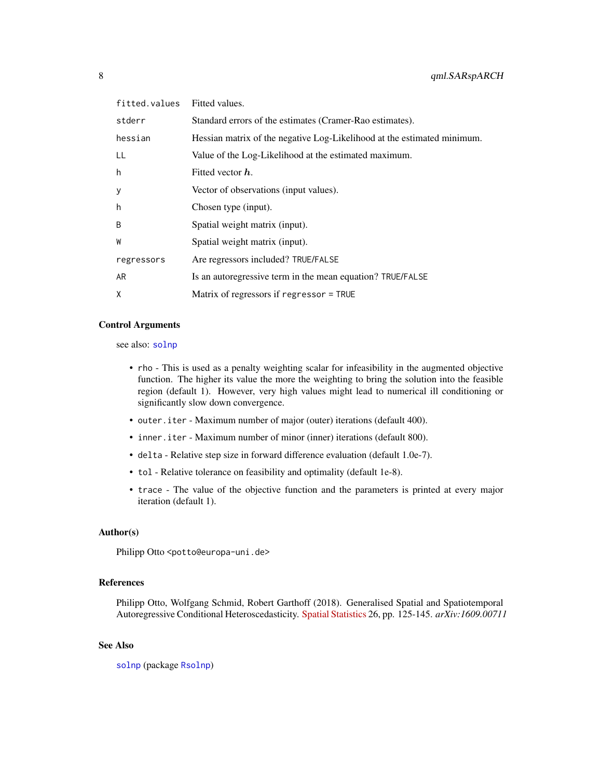<span id="page-7-0"></span>

| fitted.values | Fitted values.                                                          |
|---------------|-------------------------------------------------------------------------|
| stderr        | Standard errors of the estimates (Cramer-Rao estimates).                |
| hessian       | Hessian matrix of the negative Log-Likelihood at the estimated minimum. |
| LL            | Value of the Log-Likelihood at the estimated maximum.                   |
| h             | Fitted vector h.                                                        |
| У             | Vector of observations (input values).                                  |
| h             | Chosen type (input).                                                    |
| B             | Spatial weight matrix (input).                                          |
| W             | Spatial weight matrix (input).                                          |
| regressors    | Are regressors included? TRUE/FALSE                                     |
| AR            | Is an autoregressive term in the mean equation? TRUE/FALSE              |
| X             | Matrix of regressors if regressor = TRUE                                |

# Control Arguments

see also: [solnp](#page-0-0)

- rho This is used as a penalty weighting scalar for infeasibility in the augmented objective function. The higher its value the more the weighting to bring the solution into the feasible region (default 1). However, very high values might lead to numerical ill conditioning or significantly slow down convergence.
- outer.iter Maximum number of major (outer) iterations (default 400).
- inner.iter Maximum number of minor (inner) iterations (default 800).
- delta Relative step size in forward difference evaluation (default 1.0e-7).
- tol Relative tolerance on feasibility and optimality (default 1e-8).
- trace The value of the objective function and the parameters is printed at every major iteration (default 1).

#### Author(s)

Philipp Otto <potto@europa-uni.de>

#### References

Philipp Otto, Wolfgang Schmid, Robert Garthoff (2018). Generalised Spatial and Spatiotemporal Autoregressive Conditional Heteroscedasticity. [Spatial Statistics](https://doi.org/10.1016/j.spasta.2018.07.005) 26, pp. 125-145. *arXiv:1609.00711*

#### See Also

[solnp](#page-0-0) (package [Rsolnp](#page-0-0))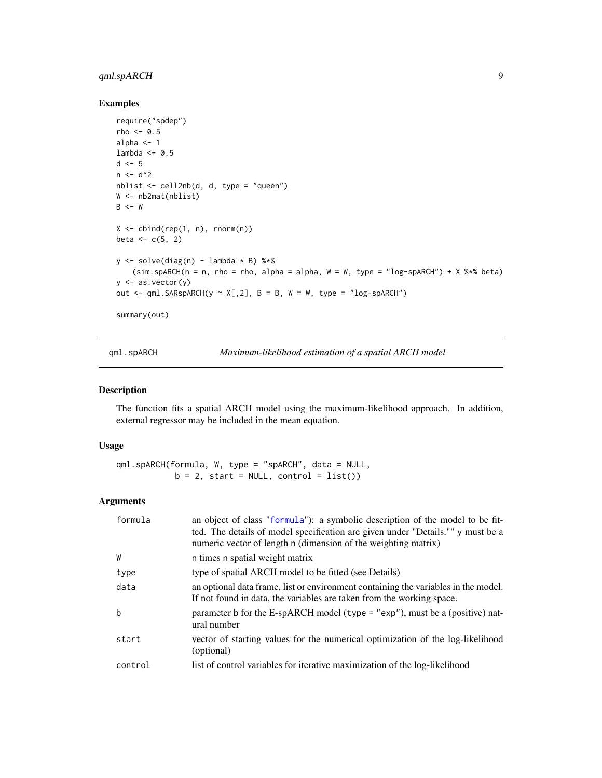# <span id="page-8-0"></span>qml.spARCH 9

# Examples

```
require("spdep")
rho <-0.5alpha <-1lambda <-0.5d \leq -5n < -d^2nblist <- cell2nb(d, d, type = "queen")
W <- nb2mat(nblist)
B < - WX \leftarrow \text{cbind}(\text{rep}(1, n), \text{rnorm}(n))beta <-c(5, 2)y \leftarrow solve(diag(n) - lambda * B) %(sim.spARCH(n = n, rho = rho, alpha = alpha, W = W, type = "log-spARCH") + X % *8 beta)y \leftarrow as vector(y)out \leq qml. SARspARCH(y \sim X[,2], B = B, W = W, type = "log-spARCH")
summary(out)
```
<span id="page-8-1"></span>qml.spARCH *Maximum-likelihood estimation of a spatial ARCH model*

# Description

The function fits a spatial ARCH model using the maximum-likelihood approach. In addition, external regressor may be included in the mean equation.

#### Usage

qml.spARCH(formula, W, type = "spARCH", data = NULL,  $b = 2$ , start = NULL, control = list())

# Arguments

| formula | an object of class "formula"): a symbolic description of the model to be fit-<br>ted. The details of model specification are given under "Details."" y must be a<br>numeric vector of length n (dimension of the weighting matrix) |
|---------|------------------------------------------------------------------------------------------------------------------------------------------------------------------------------------------------------------------------------------|
| W       | n times n spatial weight matrix                                                                                                                                                                                                    |
| type    | type of spatial ARCH model to be fitted (see Details)                                                                                                                                                                              |
| data    | an optional data frame, list or environment containing the variables in the model.<br>If not found in data, the variables are taken from the working space.                                                                        |
| b       | parameter b for the E-spARCH model (type = " $exp$ "), must be a (positive) nat-<br>ural number                                                                                                                                    |
| start   | vector of starting values for the numerical optimization of the log-likelihood<br>(optional)                                                                                                                                       |
| control | list of control variables for iterative maximization of the log-likelihood                                                                                                                                                         |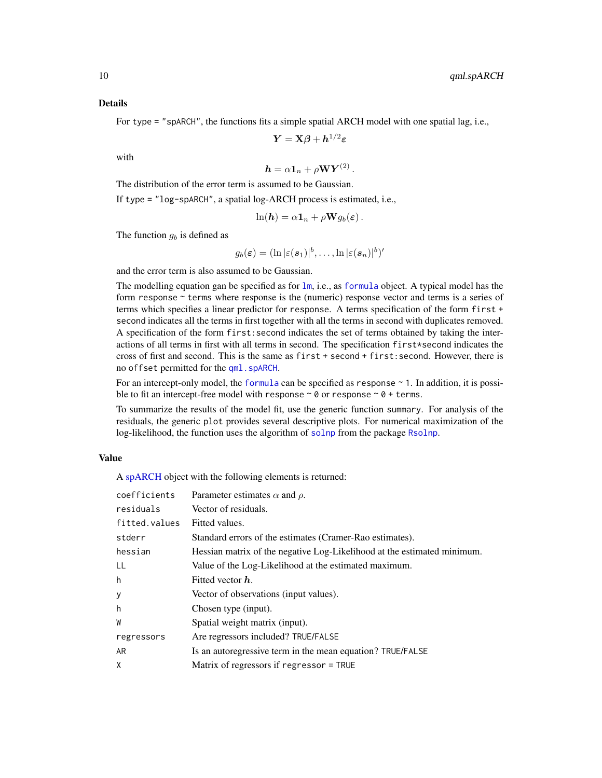<span id="page-9-0"></span>For type = "spARCH", the functions fits a simple spatial ARCH model with one spatial lag, i.e.,

$$
\boldsymbol{Y} = \mathbf{X}\boldsymbol{\beta} + \boldsymbol{h}^{1/2}\boldsymbol{\varepsilon}
$$

with

$$
\mathbf{h} = \alpha \mathbf{1}_n + \rho \mathbf{W} \mathbf{Y}^{(2)}.
$$

The distribution of the error term is assumed to be Gaussian.

If type = "log-spARCH", a spatial log-ARCH process is estimated, i.e.,

$$
\ln(\mathbf{h}) = \alpha \mathbf{1}_n + \rho \mathbf{W} g_b(\boldsymbol{\varepsilon}).
$$

The function  $q_b$  is defined as

$$
g_b(\boldsymbol{\varepsilon}) = (\ln |\varepsilon(\boldsymbol{s}_1)|^b, \ldots, \ln |\varepsilon(\boldsymbol{s}_n)|^b)'
$$

and the error term is also assumed to be Gaussian.

The modelling equation gan be specified as for  $\text{lm}$  $\text{lm}$  $\text{lm}$ , i.e., as [formula](#page-0-0) object. A typical model has the form response ~ terms where response is the (numeric) response vector and terms is a series of terms which specifies a linear predictor for response. A terms specification of the form first + second indicates all the terms in first together with all the terms in second with duplicates removed. A specification of the form first:second indicates the set of terms obtained by taking the interactions of all terms in first with all terms in second. The specification first\*second indicates the cross of first and second. This is the same as first + second + first:second. However, there is no offset permitted for the [qml.spARCH](#page-8-1).

For an intercept-only model, the [formula](#page-0-0) can be specified as response  $\sim$  1. In addition, it is possible to fit an intercept-free model with response  $\sim \emptyset$  or response  $\sim \emptyset$  + terms.

To summarize the results of the model fit, use the generic function summary. For analysis of the residuals, the generic plot provides several descriptive plots. For numerical maximization of the log-likelihood, the function uses the algorithm of [solnp](#page-0-0) from the package [Rsolnp](#page-0-0).

#### Value

A [spARCH](#page-17-1) object with the following elements is returned:

| coefficients  | Parameter estimates $\alpha$ and $\rho$ .                               |
|---------------|-------------------------------------------------------------------------|
| residuals     | Vector of residuals.                                                    |
| fitted.values | Fitted values.                                                          |
| stderr        | Standard errors of the estimates (Cramer-Rao estimates).                |
| hessian       | Hessian matrix of the negative Log-Likelihood at the estimated minimum. |
| LL            | Value of the Log-Likelihood at the estimated maximum.                   |
| h             | Fitted vector $\bm{h}$ .                                                |
| У             | Vector of observations (input values).                                  |
| h             | Chosen type (input).                                                    |
| W             | Spatial weight matrix (input).                                          |
| regressors    | Are regressors included? TRUE/FALSE                                     |
| AR            | Is an autoregressive term in the mean equation? TRUE/FALSE              |
| X             | Matrix of regressors if regressor = TRUE                                |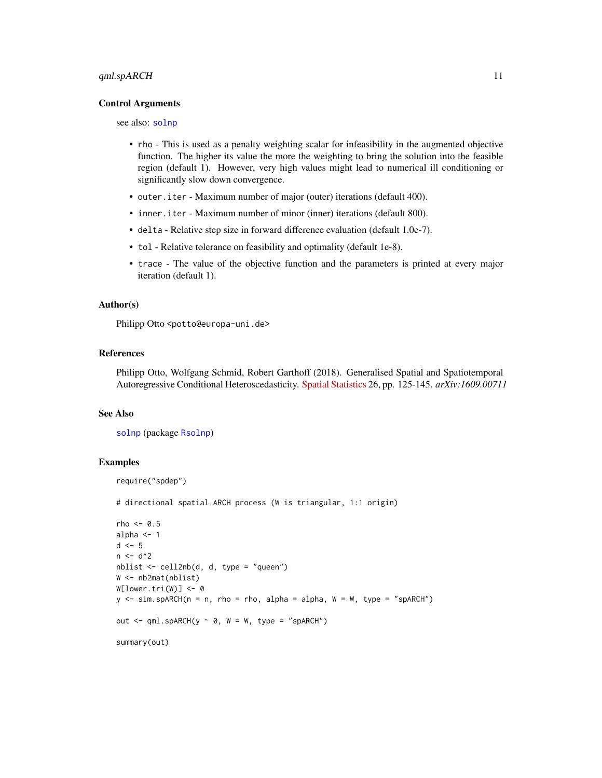#### <span id="page-10-0"></span>Control Arguments

see also: [solnp](#page-0-0)

- rho This is used as a penalty weighting scalar for infeasibility in the augmented objective function. The higher its value the more the weighting to bring the solution into the feasible region (default 1). However, very high values might lead to numerical ill conditioning or significantly slow down convergence.
- outer.iter Maximum number of major (outer) iterations (default 400).
- inner.iter Maximum number of minor (inner) iterations (default 800).
- delta Relative step size in forward difference evaluation (default 1.0e-7).
- tol Relative tolerance on feasibility and optimality (default 1e-8).
- trace The value of the objective function and the parameters is printed at every major iteration (default 1).

#### Author(s)

Philipp Otto <potto@europa-uni.de>

#### References

Philipp Otto, Wolfgang Schmid, Robert Garthoff (2018). Generalised Spatial and Spatiotemporal Autoregressive Conditional Heteroscedasticity. [Spatial Statistics](https://doi.org/10.1016/j.spasta.2018.07.005) 26, pp. 125-145. *arXiv:1609.00711*

#### See Also

[solnp](#page-0-0) (package [Rsolnp](#page-0-0))

#### Examples

```
require("spdep")
```
# directional spatial ARCH process (W is triangular, 1:1 origin)

```
rho < -0.5alpha <-1d \leq -5n < -d^2nblist <- cell2nb(d, d, type = "queen")
W <- nb2mat(nblist)
W[lower.tri(W)] < -0y \le -\sin \sin \left(\frac{\pi x}{n}\right) = n, rho = rho, alpha = alpha, W = W, type = "spARCH")
out \leq qml.spARCH(y \sim 0, W = W, type = "spARCH")
summary(out)
```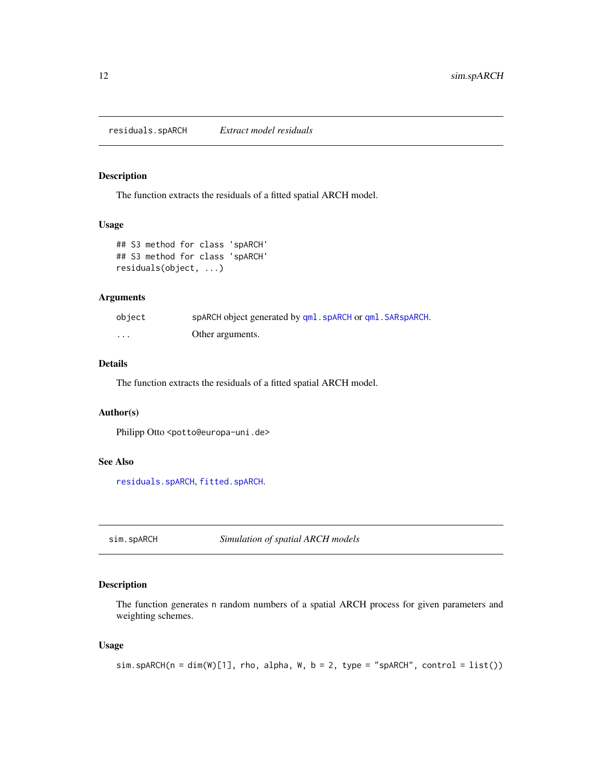<span id="page-11-1"></span><span id="page-11-0"></span>residuals.spARCH *Extract model residuals*

### Description

The function extracts the residuals of a fitted spatial ARCH model.

#### Usage

```
## S3 method for class 'spARCH'
## S3 method for class 'spARCH'
residuals(object, ...)
```
# Arguments

| object  | spARCH object generated by qml. spARCH or qml. SARspARCH. |
|---------|-----------------------------------------------------------|
| $\cdot$ | Other arguments.                                          |

# Details

The function extracts the residuals of a fitted spatial ARCH model.

#### Author(s)

Philipp Otto <potto@europa-uni.de>

#### See Also

[residuals.spARCH](#page-11-1), [fitted.spARCH](#page-2-2).

<span id="page-11-2"></span>sim.spARCH *Simulation of spatial ARCH models*

# Description

The function generates n random numbers of a spatial ARCH process for given parameters and weighting schemes.

#### Usage

```
sim.spARCH(n = dim(W)[1], rho, alpha, W, b = 2, type = "spARCH", control = list())
```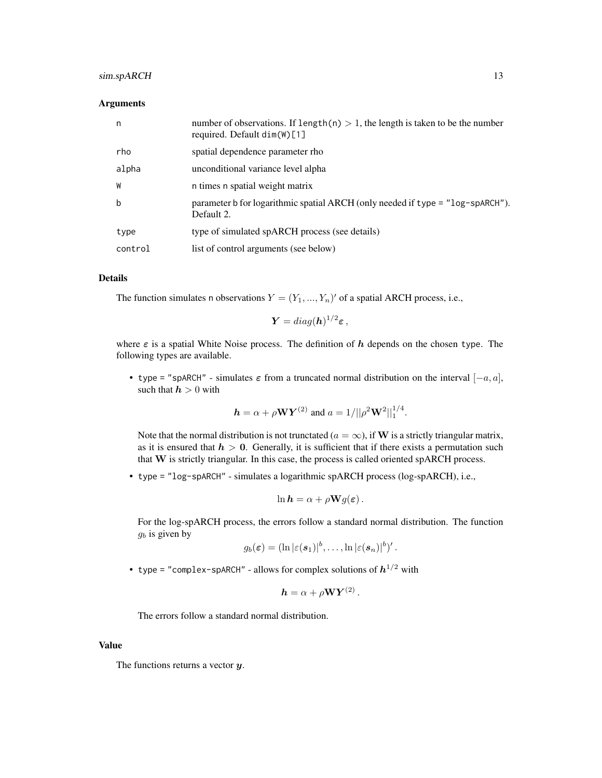# sim.spARCH 13

#### Arguments

| n       | number of observations. If length(n) $> 1$ , the length is taken to be the number<br>required. Default $dim(W)[1]$ |
|---------|--------------------------------------------------------------------------------------------------------------------|
| rho     | spatial dependence parameter rho                                                                                   |
| alpha   | unconditional variance level alpha                                                                                 |
| W       | n times n spatial weight matrix                                                                                    |
| b       | parameter b for logarithmic spatial ARCH (only needed if type = "log-spARCH").<br>Default 2.                       |
| type    | type of simulated spARCH process (see details)                                                                     |
| control | list of control arguments (see below)                                                                              |

### Details

The function simulates n observations  $Y = (Y_1, ..., Y_n)'$  of a spatial ARCH process, i.e.,

$$
\boldsymbol{Y} = diag(\boldsymbol{h})^{1/2} \boldsymbol{\varepsilon} ,
$$

where  $\varepsilon$  is a spatial White Noise process. The definition of h depends on the chosen type. The following types are available.

• type = "spARCH" - simulates  $\varepsilon$  from a truncated normal distribution on the interval  $[-a, a]$ , such that  $h > 0$  with

$$
h = \alpha + \rho \mathbf{W} \mathbf{Y}^{(2)}
$$
 and  $a = 1/||\rho^2 \mathbf{W}^2||_1^{1/4}$ .

Note that the normal distribution is not trunctated ( $a = \infty$ ), if W is a strictly triangular matrix, as it is ensured that  $h > 0$ . Generally, it is sufficient that if there exists a permutation such that W is strictly triangular. In this case, the process is called oriented spARCH process.

• type = "log-spARCH" - simulates a logarithmic spARCH process (log-spARCH), i.e.,

$$
\ln \mathbf{h} = \alpha + \rho \mathbf{W} g(\boldsymbol{\varepsilon}).
$$

For the log-spARCH process, the errors follow a standard normal distribution. The function  $g_b$  is given by

$$
g_b(\boldsymbol{\varepsilon}) = (\ln |\varepsilon(\boldsymbol{s}_1)|^b, \ldots, \ln |\varepsilon(\boldsymbol{s}_n)|^b)'.
$$

• type = "complex-spARCH" - allows for complex solutions of  $\bm{h}^{1/2}$  with

$$
\mathbf{h} = \alpha + \rho \mathbf{W} \mathbf{Y}^{(2)}.
$$

The errors follow a standard normal distribution.

#### Value

The functions returns a vector  $y$ .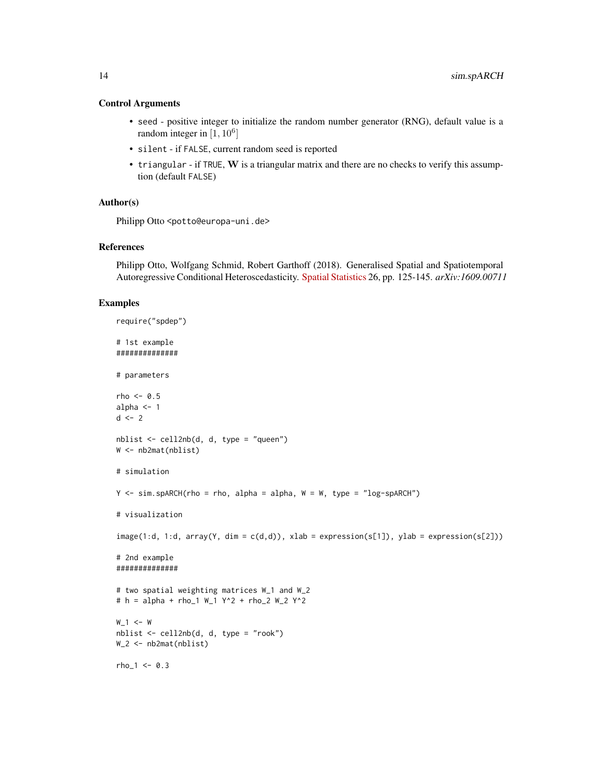#### Control Arguments

- seed positive integer to initialize the random number generator (RNG), default value is a random integer in  $[1, 10^6]$
- silent if FALSE, current random seed is reported
- triangular if TRUE,  $W$  is a triangular matrix and there are no checks to verify this assumption (default FALSE)

#### Author(s)

Philipp Otto <potto@europa-uni.de>

#### References

Philipp Otto, Wolfgang Schmid, Robert Garthoff (2018). Generalised Spatial and Spatiotemporal Autoregressive Conditional Heteroscedasticity. [Spatial Statistics](https://doi.org/10.1016/j.spasta.2018.07.005) 26, pp. 125-145. *arXiv:1609.00711*

#### Examples

```
require("spdep")
# 1st example
##############
# parameters
rho \leq -0.5alpha <-1d \le -2nblist <- cell2nb(d, d, type = "queen")
W <- nb2mat(nblist)
# simulation
Y \le -\sin \sin \left(\frac{\pi}{L}\right) = rho, alpha = alpha, W = W, type = "log-spARCH")
# visualization
image(1:d, 1:d, array(Y, dim = c(d,d)), xlab = expression(s[1]), ylab = expression(s[2]))# 2nd example
##############
# two spatial weighting matrices W_1 and W_2
# h = alpha + rho_1 W_1 Y^2 + rho_2 W_2 Y^2
W_1 < - Wnblist <- cell2nb(d, d, type = "rook")
W_2 <- nb2mat(nblist)
rho_1 < -0.3
```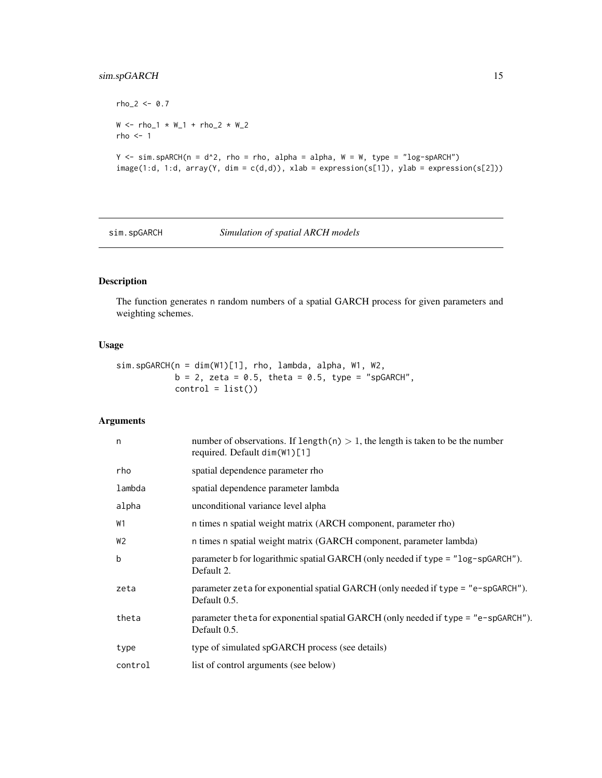# <span id="page-14-0"></span>sim.spGARCH 15

```
rho_2 < -0.7W < - rho_1 * W_1 + rho_2 * W_2rho < -1Y \le -\sin \sin \frac{\pi x}{1} sparch(n = d^2, rho = rho, alpha = alpha, W = W, type = "log-sparch")
image(1:d, 1:d, array(Y, dim = c(d,d)), xlab = expression(s[1]), ylab = expression(s[2]))
```
#### <span id="page-14-1"></span>sim.spGARCH *Simulation of spatial ARCH models*

# Description

The function generates n random numbers of a spatial GARCH process for given parameters and weighting schemes.

# Usage

sim.spGARCH(n = dim(W1)[1], rho, lambda, alpha, W1, W2,  $b = 2$ , zeta = 0.5, theta = 0.5, type = "spGARCH",  $control = list()$ 

# Arguments

| n              | number of observations. If length(n) $> 1$ , the length is taken to be the number<br>required. Default dim(W1)[1] |
|----------------|-------------------------------------------------------------------------------------------------------------------|
| rho            | spatial dependence parameter rho                                                                                  |
| lambda         | spatial dependence parameter lambda                                                                               |
| alpha          | unconditional variance level alpha                                                                                |
| <b>W1</b>      | n times n spatial weight matrix (ARCH component, parameter rho)                                                   |
| W <sub>2</sub> | n times n spatial weight matrix (GARCH component, parameter lambda)                                               |
| b              | parameter b for logarithmic spatial GARCH (only needed if type = "log-spGARCH").<br>Default 2.                    |
| zeta           | parameter zeta for exponential spatial GARCH (only needed if type = "e-spGARCH").<br>Default 0.5.                 |
| theta          | parameter theta for exponential spatial GARCH (only needed if type = "e-spGARCH").<br>Default 0.5.                |
| type           | type of simulated spGARCH process (see details)                                                                   |
| control        | list of control arguments (see below)                                                                             |
|                |                                                                                                                   |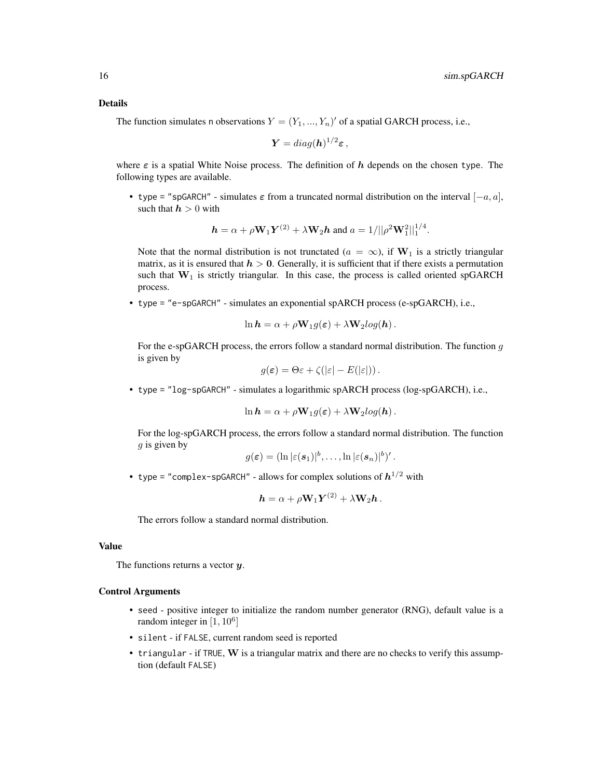#### Details

The function simulates n observations  $Y = (Y_1, ..., Y_n)'$  of a spatial GARCH process, i.e.,

$$
\boldsymbol{Y} = diag(\boldsymbol{h})^{1/2} \boldsymbol{\varepsilon} \,,
$$

where  $\varepsilon$  is a spatial White Noise process. The definition of h depends on the chosen type. The following types are available.

• type = "spGARCH" - simulates  $\varepsilon$  from a truncated normal distribution on the interval  $[-a, a]$ , such that  $h > 0$  with

$$
\mathbf{h} = \alpha + \rho \mathbf{W}_1 \mathbf{Y}^{(2)} + \lambda \mathbf{W}_2 \mathbf{h} \text{ and } a = 1/||\rho^2 \mathbf{W}_1^2||_1^{1/4}.
$$

Note that the normal distribution is not trunctated ( $a = \infty$ ), if W<sub>1</sub> is a strictly triangular matrix, as it is ensured that  $h > 0$ . Generally, it is sufficient that if there exists a permutation such that  $W_1$  is strictly triangular. In this case, the process is called oriented spGARCH process.

• type = "e-spGARCH" - simulates an exponential spARCH process (e-spGARCH), i.e.,

$$
\ln \boldsymbol{h} = \alpha + \rho \mathbf{W}_1 g(\boldsymbol{\varepsilon}) + \lambda \mathbf{W}_2 log(\boldsymbol{h}).
$$

For the e-spGARCH process, the errors follow a standard normal distribution. The function  $g$ is given by

$$
g(\varepsilon) = \Theta \varepsilon + \zeta(|\varepsilon| - E(|\varepsilon|)).
$$

• type = "log-spGARCH" - simulates a logarithmic spARCH process (log-spGARCH), i.e.,

$$
\ln \mathbf{h} = \alpha + \rho \mathbf{W}_1 g(\boldsymbol{\varepsilon}) + \lambda \mathbf{W}_2 log(\mathbf{h}).
$$

For the log-spGARCH process, the errors follow a standard normal distribution. The function  $g$  is given by

$$
g(\boldsymbol{\varepsilon}) = (\ln |\varepsilon(\boldsymbol{s}_1)|^b, \ldots, \ln |\varepsilon(\boldsymbol{s}_n)|^b)'.
$$

• type = "complex-spGARCH" - allows for complex solutions of  $\bm{h}^{1/2}$  with

$$
\mathbf{h} = \alpha + \rho \mathbf{W}_1 \mathbf{Y}^{(2)} + \lambda \mathbf{W}_2 \mathbf{h}.
$$

The errors follow a standard normal distribution.

# Value

The functions returns a vector  $y$ .

#### Control Arguments

- seed positive integer to initialize the random number generator (RNG), default value is a random integer in  $[1, 10^6]$
- silent if FALSE, current random seed is reported
- $\bullet$  triangular if TRUE, W is a triangular matrix and there are no checks to verify this assumption (default FALSE)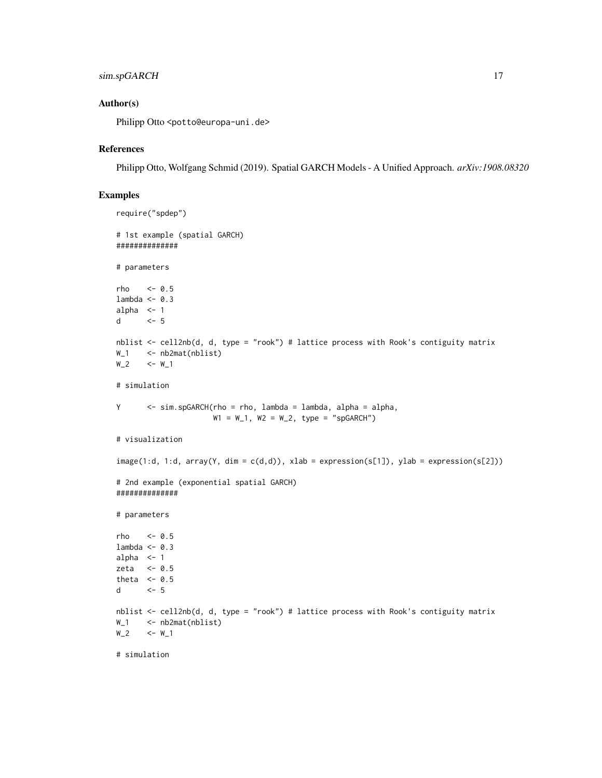# sim.spGARCH 17

#### Author(s)

Philipp Otto <potto@europa-uni.de>

# References

Philipp Otto, Wolfgang Schmid (2019). Spatial GARCH Models - A Unified Approach. *arXiv:1908.08320*

# Examples

```
require("spdep")
# 1st example (spatial GARCH)
##############
# parameters
rho <-0.5lambda <- 0.3
alpha <-1d <- 5
nblist <- cell2nb(d, d, type = "rook") # lattice process with Rook's contiguity matrix
W_1 <- nb2mat(nblist)
W_2 <- W 1
# simulation
Y <- sim.spGARCH(rho = rho, lambda = lambda, alpha = alpha,
                    W1 = W_1, W2 = W_2, type = "spGARCH")
# visualization
image(1:d, 1:d, array(Y, dim = c(d,d)), xlab = expression(s[1]), ylab = expression(s[2]))# 2nd example (exponential spatial GARCH)
##############
# parameters
rho <- 0.5
lambda <- 0.3
alpha <-1zeta <-0.5theta <-0.5d <- 5
nblist <- cell2nb(d, d, type = "rook") # lattice process with Rook's contiguity matrix
W<sub>-1</sub> <- nb2mat(nblist)
W_2 <- W_1
```
# simulation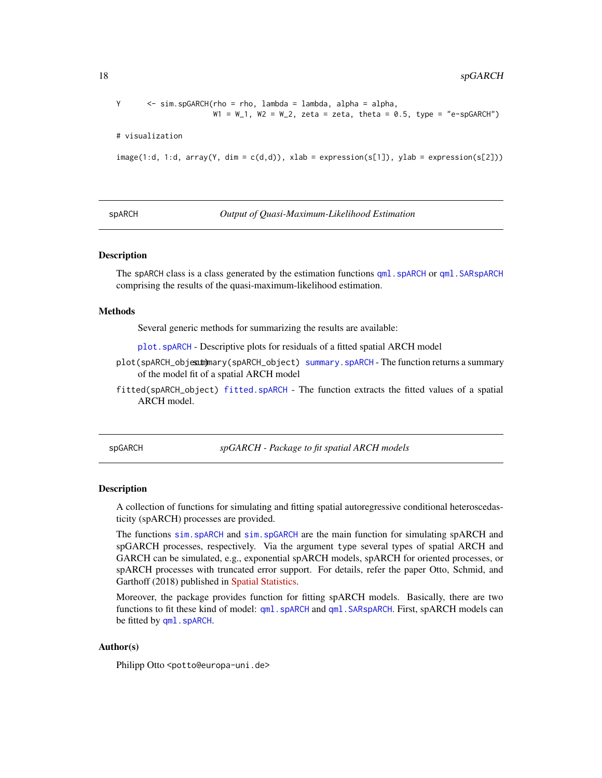```
Y <- sim.spGARCH(rho = rho, lambda = lambda, alpha = alpha,
                     W1 = W_1, W2 = W_2, zeta = zeta, theta = 0.5, type = "e-spGARCH")
# visualization
image(1:d, 1:d, array(Y, dim = c(d,d)), xlab = expression(s[1]), ylab = expression(s[2]))
```
spARCH *Output of Quasi-Maximum-Likelihood Estimation*

#### <span id="page-17-1"></span>Description

The spARCH class is a class generated by the estimation functions qml . spARCH or qml . SARspARCH comprising the results of the quasi-maximum-likelihood estimation.

#### Methods

Several generic methods for summarizing the results are available:

[plot.spARCH](#page-3-1) - Descriptive plots for residuals of a fitted spatial ARCH model

- plot(spARCH\_objecum)mary(spARCH\_object) [summary.spARCH](#page-18-1) The function returns a summary of the model fit of a spatial ARCH model
- fitted(spARCH\_object) [fitted.spARCH](#page-2-2) The function extracts the fitted values of a spatial ARCH model.

spGARCH *spGARCH - Package to fit spatial ARCH models*

#### Description

A collection of functions for simulating and fitting spatial autoregressive conditional heteroscedasticity (spARCH) processes are provided.

The functions [sim.spARCH](#page-11-2) and [sim.spGARCH](#page-14-1) are the main function for simulating spARCH and spGARCH processes, respectively. Via the argument type several types of spatial ARCH and GARCH can be simulated, e.g., exponential spARCH models, spARCH for oriented processes, or spARCH processes with truncated error support. For details, refer the paper Otto, Schmid, and Garthoff (2018) published in [Spatial Statistics.](https://doi.org/10.1016/j.spasta.2018.07.005)

Moreover, the package provides function for fitting spARCH models. Basically, there are two functions to fit these kind of model: [qml.spARCH](#page-8-1) and [qml.SARspARCH](#page-5-1). First, spARCH models can be fitted by qml. spARCH.

### Author(s)

Philipp Otto <potto@europa-uni.de>

<span id="page-17-0"></span>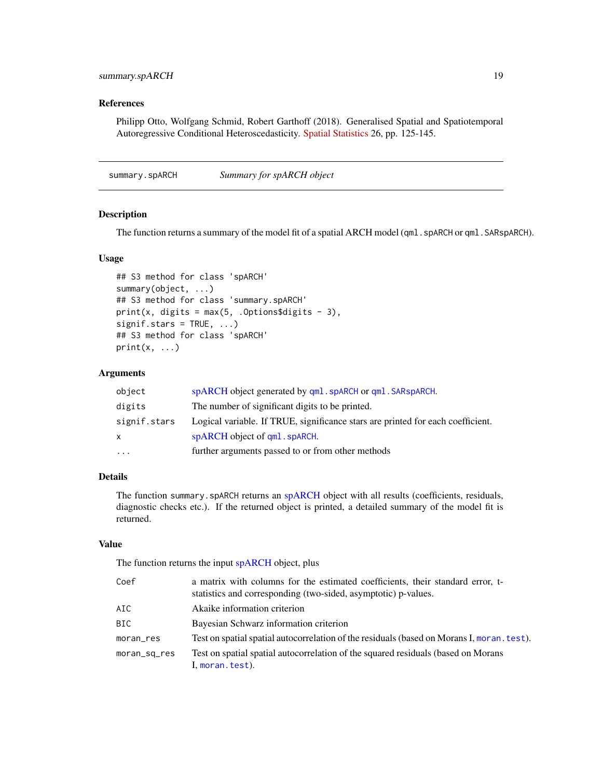# <span id="page-18-0"></span>summary.spARCH 19

#### References

Philipp Otto, Wolfgang Schmid, Robert Garthoff (2018). Generalised Spatial and Spatiotemporal Autoregressive Conditional Heteroscedasticity. [Spatial Statistics](https://doi.org/10.1016/j.spasta.2018.07.005) 26, pp. 125-145.

<span id="page-18-1"></span>summary.spARCH *Summary for spARCH object*

#### Description

The function returns a summary of the model fit of a spatial ARCH model (qml.spARCH or qml.SARspARCH).

### Usage

```
## S3 method for class 'spARCH'
summary(object, ...)
## S3 method for class 'summary.spARCH'
print(x, digits = max(5, .Options$digits - 3),
signif.stars = TRUE, ...)## S3 method for class 'spARCH'
print(x, \ldots)
```
#### Arguments

| object       | spARCH object generated by qml. spARCH or qml. SARspARCH.                       |
|--------------|---------------------------------------------------------------------------------|
| digits       | The number of significant digits to be printed.                                 |
| signif.stars | Logical variable. If TRUE, significance stars are printed for each coefficient. |
| X            | spARCH object of gml. spARCH.                                                   |
| $\cdots$     | further arguments passed to or from other methods                               |
|              |                                                                                 |

#### Details

The function summary.spARCH returns an [spARCH](#page-17-1) object with all results (coefficients, residuals, diagnostic checks etc.). If the returned object is printed, a detailed summary of the model fit is returned.

#### Value

The function returns the input [spARCH](#page-17-1) object, plus

| Coef         | a matrix with columns for the estimated coefficients, their standard error, t-<br>statistics and corresponding (two-sided, asymptotic) p-values. |
|--------------|--------------------------------------------------------------------------------------------------------------------------------------------------|
| AIC          | Akaike information criterion                                                                                                                     |
| BIC          | Bayesian Schwarz information criterion                                                                                                           |
| moran_res    | Test on spatial spatial autocorrelation of the residuals (based on Morans I, moran, test).                                                       |
| moran_sq_res | Test on spatial spatial autocorrelation of the squared residuals (based on Morans<br>I, moran.test).                                             |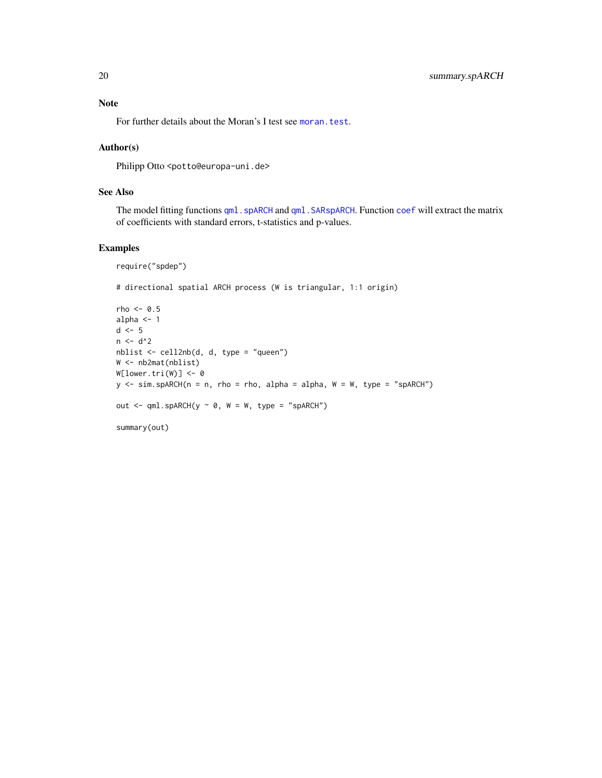# <span id="page-19-0"></span>Note

For further details about the Moran's I test see [moran.test](#page-0-0).

### Author(s)

Philipp Otto <potto@europa-uni.de>

# See Also

The model fitting functions [qml.spARCH](#page-8-1) and [qml.SARspARCH](#page-5-1). Function [coef](#page-0-0) will extract the matrix of coefficients with standard errors, t-statistics and p-values.

# Examples

```
require("spdep")
```
# directional spatial ARCH process (W is triangular, 1:1 origin)

```
rho < -0.5alpha <- 1
d \leq -5n < -d^2nblist <- cell2nb(d, d, type = "queen")
W <- nb2mat(nblist)
W[lower.tri(W)] <- 0
y \le -\sin.\text{spARCH}(n = n, rho = rho, alpha = alpha, W = W, type = "spARCH")out \leq qml.spARCH(y \sim 0, W = W, type = "spARCH")
summary(out)
```